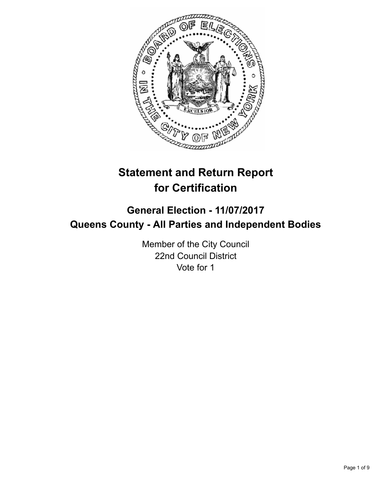

# **Statement and Return Report for Certification**

## **General Election - 11/07/2017 Queens County - All Parties and Independent Bodies**

Member of the City Council 22nd Council District Vote for 1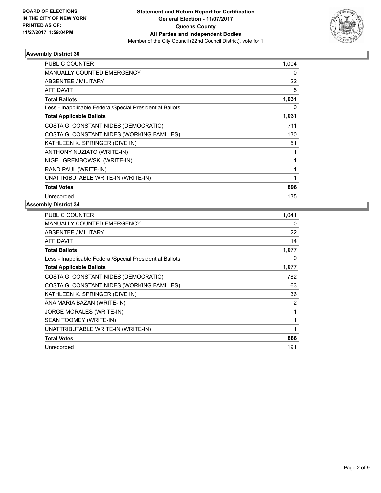

| PUBLIC COUNTER                                           | 1,004    |
|----------------------------------------------------------|----------|
| MANUALLY COUNTED EMERGENCY                               | $\Omega$ |
| ABSENTEE / MILITARY                                      | 22       |
| <b>AFFIDAVIT</b>                                         | 5        |
| <b>Total Ballots</b>                                     | 1,031    |
| Less - Inapplicable Federal/Special Presidential Ballots | 0        |
| <b>Total Applicable Ballots</b>                          | 1,031    |
| COSTA G. CONSTANTINIDES (DEMOCRATIC)                     | 711      |
| COSTA G. CONSTANTINIDES (WORKING FAMILIES)               | 130      |
| KATHLEEN K. SPRINGER (DIVE IN)                           | 51       |
| ANTHONY NUZIATO (WRITE-IN)                               |          |
| NIGEL GREMBOWSKI (WRITE-IN)                              |          |
| RAND PAUL (WRITE-IN)                                     |          |
| UNATTRIBUTABLE WRITE-IN (WRITE-IN)                       |          |
| <b>Total Votes</b>                                       | 896      |
| Unrecorded                                               | 135      |
|                                                          |          |

| PUBLIC COUNTER                                           | 1,041 |
|----------------------------------------------------------|-------|
| <b>MANUALLY COUNTED EMERGENCY</b>                        | 0     |
| <b>ABSENTEE / MILITARY</b>                               | 22    |
| AFFIDAVIT                                                | 14    |
| <b>Total Ballots</b>                                     | 1,077 |
| Less - Inapplicable Federal/Special Presidential Ballots | 0     |
| <b>Total Applicable Ballots</b>                          | 1,077 |
| COSTA G. CONSTANTINIDES (DEMOCRATIC)                     | 782   |
| COSTA G. CONSTANTINIDES (WORKING FAMILIES)               | 63    |
| KATHLEEN K. SPRINGER (DIVE IN)                           | 36    |
| ANA MARIA BAZAN (WRITE-IN)                               | 2     |
| <b>JORGE MORALES (WRITE-IN)</b>                          | 1     |
| SEAN TOOMEY (WRITE-IN)                                   | 1     |
| UNATTRIBUTABLE WRITE-IN (WRITE-IN)                       | 1     |
| <b>Total Votes</b>                                       | 886   |
| Unrecorded                                               | 191   |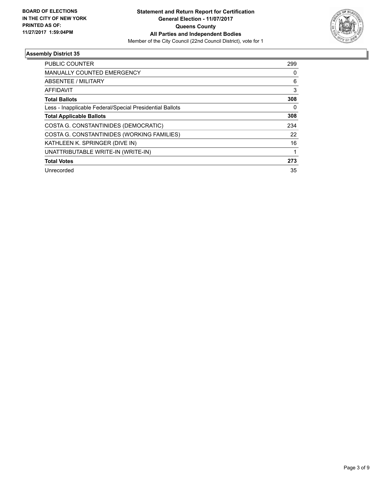

| <b>PUBLIC COUNTER</b>                                    | 299 |
|----------------------------------------------------------|-----|
| <b>MANUALLY COUNTED EMERGENCY</b>                        | 0   |
| <b>ABSENTEE / MILITARY</b>                               | 6   |
| <b>AFFIDAVIT</b>                                         | 3   |
| <b>Total Ballots</b>                                     | 308 |
| Less - Inapplicable Federal/Special Presidential Ballots | 0   |
| <b>Total Applicable Ballots</b>                          | 308 |
| COSTA G. CONSTANTINIDES (DEMOCRATIC)                     | 234 |
| COSTA G. CONSTANTINIDES (WORKING FAMILIES)               | 22  |
| KATHLEEN K. SPRINGER (DIVE IN)                           | 16  |
| UNATTRIBUTABLE WRITE-IN (WRITE-IN)                       | 1   |
| <b>Total Votes</b>                                       | 273 |
| Unrecorded                                               | 35  |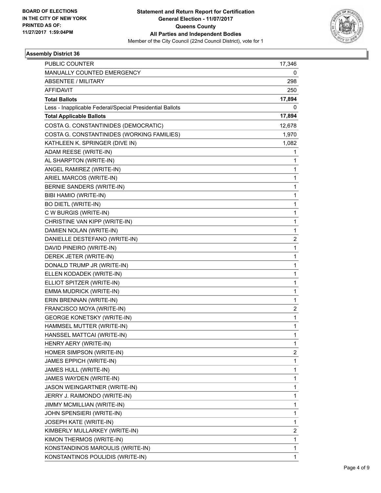

| PUBLIC COUNTER                                           | 17,346                  |
|----------------------------------------------------------|-------------------------|
| MANUALLY COUNTED EMERGENCY                               | 0                       |
| <b>ABSENTEE / MILITARY</b>                               | 298                     |
| AFFIDAVIT                                                | 250                     |
| <b>Total Ballots</b>                                     | 17,894                  |
| Less - Inapplicable Federal/Special Presidential Ballots | 0                       |
| <b>Total Applicable Ballots</b>                          | 17,894                  |
| COSTA G. CONSTANTINIDES (DEMOCRATIC)                     | 12,678                  |
| COSTA G. CONSTANTINIDES (WORKING FAMILIES)               | 1,970                   |
| KATHLEEN K. SPRINGER (DIVE IN)                           | 1,082                   |
| ADAM REESE (WRITE-IN)                                    | 1                       |
| AL SHARPTON (WRITE-IN)                                   | 1                       |
| ANGEL RAMIREZ (WRITE-IN)                                 | 1                       |
| ARIEL MARCOS (WRITE-IN)                                  | $\mathbf{1}$            |
| BERNIE SANDERS (WRITE-IN)                                | 1                       |
| BIBI HAMIO (WRITE-IN)                                    | 1                       |
| <b>BO DIETL (WRITE-IN)</b>                               | 1                       |
| C W BURGIS (WRITE-IN)                                    | 1                       |
| CHRISTINE VAN KIPP (WRITE-IN)                            | 1                       |
| DAMIEN NOLAN (WRITE-IN)                                  | $\mathbf{1}$            |
| DANIELLE DESTEFANO (WRITE-IN)                            | 2                       |
| DAVID PINEIRO (WRITE-IN)                                 | 1                       |
| DEREK JETER (WRITE-IN)                                   | $\mathbf{1}$            |
| DONALD TRUMP JR (WRITE-IN)                               | 1                       |
| ELLEN KODADEK (WRITE-IN)                                 | 1                       |
| ELLIOT SPITZER (WRITE-IN)                                | $\mathbf{1}$            |
| EMMA MUDRICK (WRITE-IN)                                  | 1                       |
| ERIN BRENNAN (WRITE-IN)                                  | 1                       |
| FRANCISCO MOYA (WRITE-IN)                                | 2                       |
| <b>GEORGE KONETSKY (WRITE-IN)</b>                        | 1                       |
| HAMMSEL MUTTER (WRITE-IN)                                | 1                       |
| HANSSEL MATTCAI (WRITE-IN)                               | 1                       |
| HENRY AERY (WRITE-IN)                                    | 1                       |
| HOMER SIMPSON (WRITE-IN)                                 | $\overline{\mathbf{c}}$ |
| JAMES EPPICH (WRITE-IN)                                  | 1                       |
| JAMES HULL (WRITE-IN)                                    | 1                       |
| JAMES WAYDEN (WRITE-IN)                                  | 1                       |
| JASON WEINGARTNER (WRITE-IN)                             | 1                       |
| JERRY J. RAIMONDO (WRITE-IN)                             | 1                       |
| JIMMY MCMILLIAN (WRITE-IN)                               | 1                       |
| JOHN SPENSIERI (WRITE-IN)                                | 1                       |
| JOSEPH KATE (WRITE-IN)                                   | 1                       |
| KIMBERLY MULLARKEY (WRITE-IN)                            | 2                       |
| KIMON THERMOS (WRITE-IN)                                 | $\mathbf{1}$            |
| KONSTANDINOS MAROULIS (WRITE-IN)                         | 1                       |
| KONSTANTINOS POULIDIS (WRITE-IN)                         | $\mathbf{1}$            |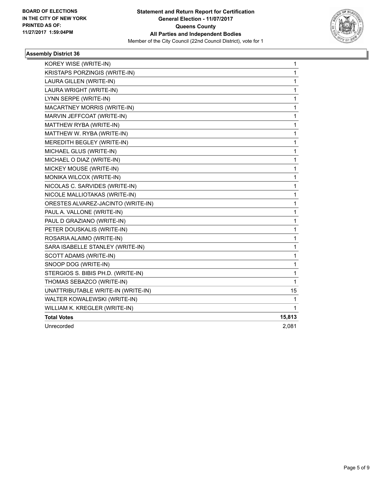

| KOREY WISE (WRITE-IN)              | 1      |
|------------------------------------|--------|
| KRISTAPS PORZINGIS (WRITE-IN)      | 1      |
| LAURA GILLEN (WRITE-IN)            | 1      |
| LAURA WRIGHT (WRITE-IN)            | 1      |
| LYNN SERPE (WRITE-IN)              | 1      |
| <b>MACARTNEY MORRIS (WRITE-IN)</b> | 1      |
| MARVIN JEFFCOAT (WRITE-IN)         | 1      |
| MATTHEW RYBA (WRITE-IN)            | 1      |
| MATTHEW W. RYBA (WRITE-IN)         | 1      |
| MEREDITH BEGLEY (WRITE-IN)         | 1      |
| MICHAEL GLUS (WRITE-IN)            | 1      |
| MICHAEL O DIAZ (WRITE-IN)          | 1      |
| MICKEY MOUSE (WRITE-IN)            | 1      |
| MONIKA WILCOX (WRITE-IN)           | 1      |
| NICOLAS C. SARVIDES (WRITE-IN)     | 1      |
| NICOLE MALLIOTAKAS (WRITE-IN)      | 1      |
| ORESTES ALVAREZ-JACINTO (WRITE-IN) | 1      |
| PAUL A. VALLONE (WRITE-IN)         | 1      |
| PAUL D GRAZIANO (WRITE-IN)         | 1      |
| PETER DOUSKALIS (WRITE-IN)         | 1      |
| ROSARIA ALAIMO (WRITE-IN)          | 1      |
| SARA ISABELLE STANLEY (WRITE-IN)   | 1      |
| SCOTT ADAMS (WRITE-IN)             | 1      |
| SNOOP DOG (WRITE-IN)               | 1      |
| STERGIOS S. BIBIS PH.D. (WRITE-IN) | 1      |
| THOMAS SEBAZCO (WRITE-IN)          | 1      |
| UNATTRIBUTABLE WRITE-IN (WRITE-IN) | 15     |
| WALTER KOWALEWSKI (WRITE-IN)       | 1      |
| WILLIAM K. KREGLER (WRITE-IN)      | 1      |
| <b>Total Votes</b>                 | 15,813 |
| Unrecorded                         | 2,081  |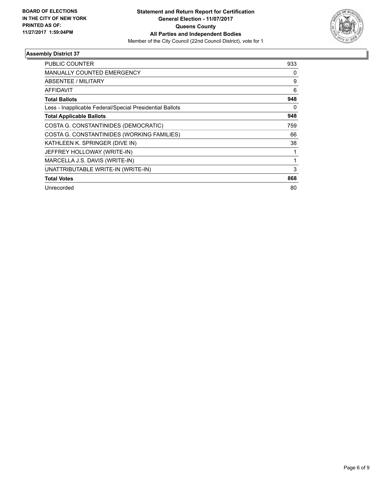

| PUBLIC COUNTER                                           | 933 |
|----------------------------------------------------------|-----|
| <b>MANUALLY COUNTED EMERGENCY</b>                        | 0   |
| <b>ABSENTEE / MILITARY</b>                               | 9   |
| <b>AFFIDAVIT</b>                                         | 6   |
| <b>Total Ballots</b>                                     | 948 |
| Less - Inapplicable Federal/Special Presidential Ballots | 0   |
| <b>Total Applicable Ballots</b>                          | 948 |
| COSTA G. CONSTANTINIDES (DEMOCRATIC)                     | 759 |
| COSTA G. CONSTANTINIDES (WORKING FAMILIES)               | 66  |
| KATHLEEN K. SPRINGER (DIVE IN)                           | 38  |
| JEFFREY HOLLOWAY (WRITE-IN)                              |     |
| MARCELLA J.S. DAVIS (WRITE-IN)                           |     |
| UNATTRIBUTABLE WRITE-IN (WRITE-IN)                       | 3   |
| <b>Total Votes</b>                                       | 868 |
| Unrecorded                                               | 80  |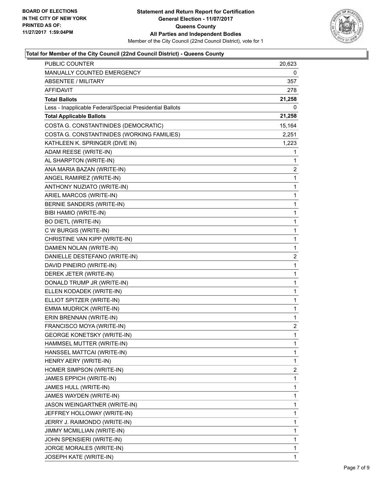

### **Total for Member of the City Council (22nd Council District) - Queens County**

| PUBLIC COUNTER                                           | 20,623                  |
|----------------------------------------------------------|-------------------------|
| MANUALLY COUNTED EMERGENCY                               | 0                       |
| <b>ABSENTEE / MILITARY</b>                               | 357                     |
| <b>AFFIDAVIT</b>                                         | 278                     |
| <b>Total Ballots</b>                                     | 21,258                  |
| Less - Inapplicable Federal/Special Presidential Ballots | 0                       |
| <b>Total Applicable Ballots</b>                          | 21,258                  |
| COSTA G. CONSTANTINIDES (DEMOCRATIC)                     | 15,164                  |
| COSTA G. CONSTANTINIDES (WORKING FAMILIES)               | 2,251                   |
| KATHLEEN K. SPRINGER (DIVE IN)                           | 1,223                   |
| ADAM REESE (WRITE-IN)                                    | 1                       |
| AL SHARPTON (WRITE-IN)                                   | 1                       |
| ANA MARIA BAZAN (WRITE-IN)                               | 2                       |
| ANGEL RAMIREZ (WRITE-IN)                                 | $\mathbf{1}$            |
| ANTHONY NUZIATO (WRITE-IN)                               | 1                       |
| ARIEL MARCOS (WRITE-IN)                                  | 1                       |
| BERNIE SANDERS (WRITE-IN)                                | $\mathbf{1}$            |
| BIBI HAMIO (WRITE-IN)                                    | 1                       |
| <b>BO DIETL (WRITE-IN)</b>                               | 1                       |
| C W BURGIS (WRITE-IN)                                    | 1                       |
| CHRISTINE VAN KIPP (WRITE-IN)                            | 1                       |
| DAMIEN NOLAN (WRITE-IN)                                  | 1                       |
| DANIELLE DESTEFANO (WRITE-IN)                            | $\overline{\mathbf{c}}$ |
| DAVID PINEIRO (WRITE-IN)                                 | 1                       |
| DEREK JETER (WRITE-IN)                                   | 1                       |
| DONALD TRUMP JR (WRITE-IN)                               | 1                       |
| ELLEN KODADEK (WRITE-IN)                                 | 1                       |
| ELLIOT SPITZER (WRITE-IN)                                | 1                       |
| EMMA MUDRICK (WRITE-IN)                                  | 1                       |
| ERIN BRENNAN (WRITE-IN)                                  | 1                       |
| FRANCISCO MOYA (WRITE-IN)                                | 2                       |
| <b>GEORGE KONETSKY (WRITE-IN)</b>                        | $\mathbf{1}$            |
| HAMMSEL MUTTER (WRITE-IN)                                | 1                       |
| HANSSEL MATTCAI (WRITE-IN)                               | 1                       |
| HENRY AERY (WRITE-IN)                                    | 1                       |
| HOMER SIMPSON (WRITE-IN)                                 | 2                       |
| JAMES EPPICH (WRITE-IN)                                  | 1                       |
| JAMES HULL (WRITE-IN)                                    | 1                       |
| JAMES WAYDEN (WRITE-IN)                                  | 1                       |
| JASON WEINGARTNER (WRITE-IN)                             | 1                       |
| JEFFREY HOLLOWAY (WRITE-IN)                              | 1                       |
| JERRY J. RAIMONDO (WRITE-IN)                             | 1                       |
| JIMMY MCMILLIAN (WRITE-IN)                               | 1                       |
| JOHN SPENSIERI (WRITE-IN)                                | 1                       |
| JORGE MORALES (WRITE-IN)                                 | 1                       |
| JOSEPH KATE (WRITE-IN)                                   | 1                       |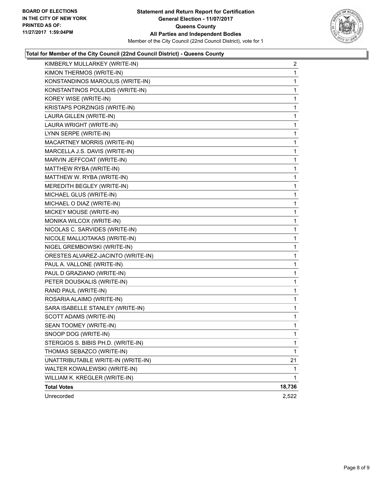

### **Total for Member of the City Council (22nd Council District) - Queens County**

| KIMBERLY MULLARKEY (WRITE-IN)      | 2      |
|------------------------------------|--------|
| KIMON THERMOS (WRITE-IN)           | 1      |
| KONSTANDINOS MAROULIS (WRITE-IN)   | 1      |
| KONSTANTINOS POULIDIS (WRITE-IN)   | 1      |
| KOREY WISE (WRITE-IN)              | 1      |
| KRISTAPS PORZINGIS (WRITE-IN)      | 1      |
| LAURA GILLEN (WRITE-IN)            | 1      |
| LAURA WRIGHT (WRITE-IN)            | 1      |
| LYNN SERPE (WRITE-IN)              | 1      |
| MACARTNEY MORRIS (WRITE-IN)        | 1      |
| MARCELLA J.S. DAVIS (WRITE-IN)     | 1      |
| MARVIN JEFFCOAT (WRITE-IN)         | 1      |
| MATTHEW RYBA (WRITE-IN)            | 1      |
| MATTHEW W. RYBA (WRITE-IN)         | 1      |
| MEREDITH BEGLEY (WRITE-IN)         | 1      |
| MICHAEL GLUS (WRITE-IN)            | 1      |
| MICHAEL O DIAZ (WRITE-IN)          | 1      |
| MICKEY MOUSE (WRITE-IN)            | 1      |
| MONIKA WILCOX (WRITE-IN)           | 1      |
| NICOLAS C. SARVIDES (WRITE-IN)     | 1      |
| NICOLE MALLIOTAKAS (WRITE-IN)      | 1      |
| NIGEL GREMBOWSKI (WRITE-IN)        | 1      |
| ORESTES ALVAREZ-JACINTO (WRITE-IN) | 1      |
| PAUL A. VALLONE (WRITE-IN)         | 1      |
| PAUL D GRAZIANO (WRITE-IN)         | 1      |
| PETER DOUSKALIS (WRITE-IN)         | 1      |
| RAND PAUL (WRITE-IN)               | 1      |
| ROSARIA ALAIMO (WRITE-IN)          | 1      |
| SARA ISABELLE STANLEY (WRITE-IN)   | 1      |
| SCOTT ADAMS (WRITE-IN)             | 1      |
| SEAN TOOMEY (WRITE-IN)             | 1      |
| SNOOP DOG (WRITE-IN)               | 1      |
| STERGIOS S. BIBIS PH.D. (WRITE-IN) | 1      |
| THOMAS SEBAZCO (WRITE-IN)          | 1      |
| UNATTRIBUTABLE WRITE-IN (WRITE-IN) | 21     |
| WALTER KOWALEWSKI (WRITE-IN)       | 1      |
| WILLIAM K. KREGLER (WRITE-IN)      | 1      |
| <b>Total Votes</b>                 | 18,736 |
| Unrecorded                         | 2,522  |